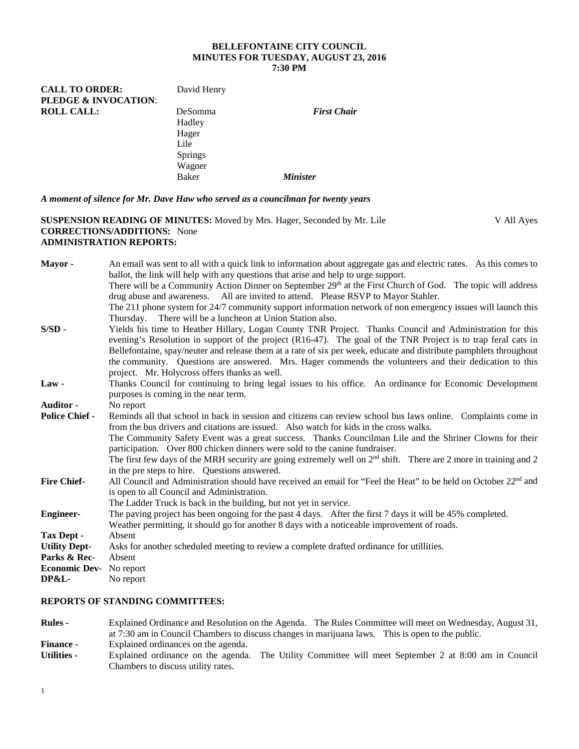#### **BELLEFONTAINE CITY COUNCIL MINUTES FOR TUESDAY, AUGUST 23, 2016 7:30 PM**

| <b>CALL TO ORDER:</b> | David Henry    |                    |
|-----------------------|----------------|--------------------|
| PLEDGE & INVOCATION:  |                |                    |
| <b>ROLL CALL:</b>     | <b>DeSomma</b> | <b>First Chair</b> |
|                       | Hadley         |                    |
|                       | Hager          |                    |
|                       | Lile           |                    |
|                       | <b>Springs</b> |                    |
|                       | Wagner         |                    |
|                       | Baker          | <b>Minister</b>    |

*A moment of silence for Mr. Dave Haw who served as a councilman for twenty years*

#### **SUSPENSION READING OF MINUTES:** Moved by Mrs. Hager, Seconded by Mr. Lile V All Ayes **CORRECTIONS/ADDITIONS:** None **ADMINISTRATION REPORTS:**

**Mayor -** An email was sent to all with a quick link to information about aggregate gas and electric rates. As this comes to ballot, the link will help with any questions that arise and help to urge support. There will be a Community Action Dinner on September 29<sup>th</sup> at the First Church of God. The topic will address drug abuse and awareness. All are invited to attend. Please RSVP to Mayor Stahler. The 211 phone system for 24/7 community support information network of non emergency issues will launch this

- Thursday. There will be a luncheon at Union Station also. **S/SD -** Yields his time to Heather Hillary, Logan County TNR Project. Thanks Council and Administration for this evening's Resolution in support of the project (R16-47). The goal of the TNR Project is to trap feral cats in Bellefontaine, spay/neuter and release them at a rate of six per week, educate and distribute pamphlets throughout the community. Questions are answered. Mrs. Hager commends the volunteers and their dedication to this project. Mr. Holycross offers thanks as well.
- **Law -** Thanks Council for continuing to bring legal issues to his office. An ordinance for Economic Development purposes is coming in the near term.

**Auditor -** No report<br>**Police Chief -** Reminds a

Reminds all that school in back in session and citizens can review school bus laws online. Complaints come in from the bus drivers and citations are issued. Also watch for kids in the cross walks.

The Community Safety Event was a great success. Thanks Councilman Lile and the Shriner Clowns for their participation. Over 800 chicken dinners were sold to the canine fundraiser.

The first few days of the MRH security are going extremely well on  $2<sup>nd</sup>$  shift. There are 2 more in training and 2 in the pre steps to hire. Questions answered.

- **Fire Chief-** All Council and Administration should have received an email for "Feel the Heat" to be held on October 22<sup>nd</sup> and is open to all Council and Administration.
	- The Ladder Truck is back in the building, but not yet in service.
- **Engineer-** The paving project has been ongoing for the past 4 days. After the first 7 days it will be 45% completed. Weather permitting, it should go for another 8 days with a noticeable improvement of roads. **Tax Dept -** Absent **Utility Dept-** Asks for another scheduled meeting to review a complete drafted ordinance for utillities. **Parks & Rec-** Absent **Economic Dev-** No report **DP&L-** No report

# **REPORTS OF STANDING COMMITTEES:**

**Rules -** Explained Ordinance and Resolution on the Agenda. The Rules Committee will meet on Wednesday, August 31, at 7:30 am in Council Chambers to discuss changes in marijuana laws. This is open to the public. **Finance -** Explained ordinances on the agenda. **Utilities -** Explained ordinance on the agenda. The Utility Committee will meet September 2 at 8:00 am in Council Chambers to discuss utility rates.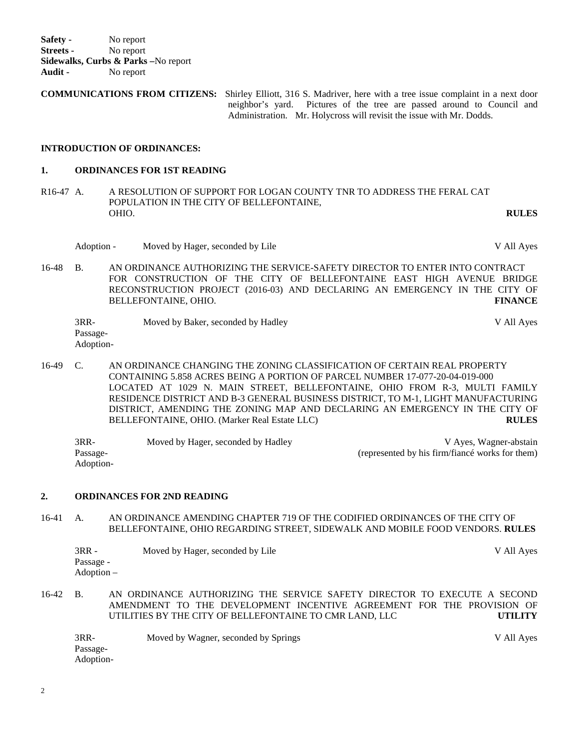**Safety -** No report **Streets -** No report **Sidewalks, Curbs & Parks –**No report **Audit -** No report

**COMMUNICATIONS FROM CITIZENS:** Shirley Elliott, 316 S. Madriver, here with a tree issue complaint in a next door neighbor's yard.Pictures of the tree are passed around to Council and Administration. Mr. Holycross will revisit the issue with Mr. Dodds.

### **INTRODUCTION OF ORDINANCES:**

#### **1. ORDINANCES FOR 1ST READING**

R16-47 A. A RESOLUTION OF SUPPORT FOR LOGAN COUNTY TNR TO ADDRESS THE FERAL CAT POPULATION IN THE CITY OF BELLEFONTAINE, OHIO. OHIO. **RULES**

- Adoption Moved by Hager, seconded by Lile V All Ayes
- 16-48 B. AN ORDINANCE AUTHORIZING THE SERVICE-SAFETY DIRECTOR TO ENTER INTO CONTRACT FOR CONSTRUCTION OF THE CITY OF BELLEFONTAINE EAST HIGH AVENUE BRIDGE RECONSTRUCTION PROJECT (2016-03) AND DECLARING AN EMERGENCY IN THE CITY OF BELLEFONTAINE, OHIO. **FINANCE**

| 3RR-      | Moved by Baker, seconded by Hadley | V All Aves |
|-----------|------------------------------------|------------|
| Passage-  |                                    |            |
| Adoption- |                                    |            |

16-49 C. AN ORDINANCE CHANGING THE ZONING CLASSIFICATION OF CERTAIN REAL PROPERTY CONTAINING 5.858 ACRES BEING A PORTION OF PARCEL NUMBER 17-077-20-04-019-000 LOCATED AT 1029 N. MAIN STREET, BELLEFONTAINE, OHIO FROM R-3, MULTI FAMILY RESIDENCE DISTRICT AND B-3 GENERAL BUSINESS DISTRICT, TO M-1, LIGHT MANUFACTURING DISTRICT, AMENDING THE ZONING MAP AND DECLARING AN EMERGENCY IN THE CITY OF BELLEFONTAINE, OHIO. (Marker Real Estate LLC) **RULES**

| $3RR-$    | Moved by Hager, seconded by Hadley | V Ayes, Wagner-abstain                          |
|-----------|------------------------------------|-------------------------------------------------|
| Passage-  |                                    | (represented by his firm/fiance works for them) |
| Adoption- |                                    |                                                 |

#### **2. ORDINANCES FOR 2ND READING**

16-41 A. AN ORDINANCE AMENDING CHAPTER 719 OF THE CODIFIED ORDINANCES OF THE CITY OF BELLEFONTAINE, OHIO REGARDING STREET, SIDEWALK AND MOBILE FOOD VENDORS. **RULES**

| $3RR -$    | Moved by Hager, seconded by Lile | V All Ayes |
|------------|----------------------------------|------------|
| Passage -  |                                  |            |
| Adoption – |                                  |            |

16-42 B. AN ORDINANCE AUTHORIZING THE SERVICE SAFETY DIRECTOR TO EXECUTE A SECOND AMENDMENT TO THE DEVELOPMENT INCENTIVE AGREEMENT FOR THE PROVISION OF UTILITIES BY THE CITY OF BELLEFONTAINE TO CMR LAND, LLC **UTILITY**

3RR- Moved by Wagner, seconded by Springs V All Ayes Passage-Adoption